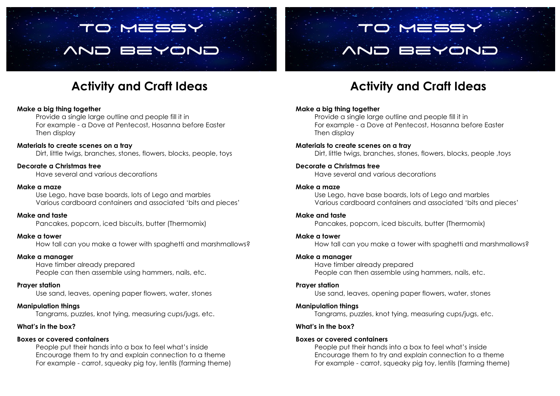# To Messy and Beyond

## **Activity and Craft Ideas**

#### **Make a big thing together**

Provide a single large outline and people fill it in For example - a Dove at Pentecost, Hosanna before Easter Then display

#### **Materials to create scenes on a tray** Dirt, little twigs, branches, stones, flowers, blocks, people, toys

**Decorate a Christmas tree** Have several and various decorations

#### **Make a maze**

Use Lego, have base boards, lots of Lego and marbles Various cardboard containers and associated 'bits and pieces'

**Make and taste** Pancakes, popcorn, iced biscuits, butter (Thermomix)

#### **Make a tower**

How tall can you make a tower with spaghetti and marshmallows?

#### **Make a manager**

Have timber already prepared People can then assemble using hammers, nails, etc.

#### **Prayer station**

Use sand, leaves, opening paper flowers, water, stones

#### **Manipulation things**

Tangrams, puzzles, knot tying, measuring cups/jugs, etc.

#### **What's in the box?**

#### **Boxes or covered containers**

People put their hands into a box to feel what's inside Encourage them to try and explain connection to a theme For example - carrot, squeaky pig toy, lentils (farming theme)

## **Activity and Craft Ideas**

To Messy

and Beyond

#### **Make a big thing together**

Provide a single large outline and people fill it in For example - a Dove at Pentecost, Hosanna before Easter Then display

#### **Materials to create scenes on a tray**

Dirt, little twigs, branches, stones, flowers, blocks, people ,toys

#### **Decorate a Christmas tree**

Have several and various decorations

#### **Make a maze**

Use Lego, have base boards, lots of Lego and marbles Various cardboard containers and associated 'bits and pieces'

#### **Make and taste**

Pancakes, popcorn, iced biscuits, butter (Thermomix)

#### **Make a tower**

How tall can you make a tower with spaghetti and marshmallows?

#### **Make a manager**

Have timber already prepared People can then assemble using hammers, nails, etc.

#### **Prayer station**

Use sand, leaves, opening paper flowers, water, stones

#### **Manipulation things**

Tangrams, puzzles, knot tying, measuring cups/jugs, etc.

#### **What's in the box?**

#### **Boxes or covered containers**

People put their hands into a box to feel what's inside Encourage them to try and explain connection to a theme For example - carrot, squeaky pig toy, lentils (farming theme)